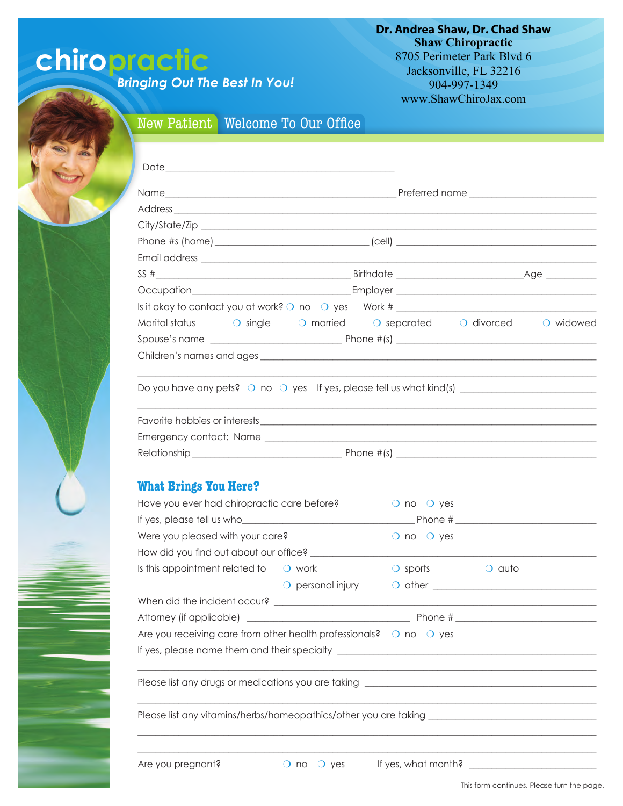## **chiropractic**

*Bringing Out The Best In You!*

**Dr. Andrea Shaw, Dr. Chad Shaw Shaw Chiropractic** 8705 Perimeter Park Blvd 6 Jacksonville, FL 32216 904-997-1349 www.ShawChiroJax.com

## New Patient Welcome To Our Office

| Occupation Employer Employer Employer                                                                                                                                                                                                                   |                                                          |                                                                                                                                                                                                                               |        |  |  |
|---------------------------------------------------------------------------------------------------------------------------------------------------------------------------------------------------------------------------------------------------------|----------------------------------------------------------|-------------------------------------------------------------------------------------------------------------------------------------------------------------------------------------------------------------------------------|--------|--|--|
|                                                                                                                                                                                                                                                         |                                                          |                                                                                                                                                                                                                               |        |  |  |
| Marital status $\qquad$ o single                                                                                                                                                                                                                        | O married O separated O divorced O widowed               |                                                                                                                                                                                                                               |        |  |  |
|                                                                                                                                                                                                                                                         |                                                          |                                                                                                                                                                                                                               |        |  |  |
| Children's names and ages experience and ages and ages and ages and ages and ages and ages and ages and ages and ages and ages and ages and ages and ages and ages and ages and ages and ages and ages and ages and ages and a                          |                                                          |                                                                                                                                                                                                                               |        |  |  |
| Do you have any pets? $\circ$ no $\circ$ yes If yes, please tell us what kind(s) $\frac{1}{\sqrt{2}}$                                                                                                                                                   |                                                          |                                                                                                                                                                                                                               |        |  |  |
|                                                                                                                                                                                                                                                         |                                                          |                                                                                                                                                                                                                               |        |  |  |
|                                                                                                                                                                                                                                                         |                                                          |                                                                                                                                                                                                                               |        |  |  |
|                                                                                                                                                                                                                                                         |                                                          |                                                                                                                                                                                                                               |        |  |  |
|                                                                                                                                                                                                                                                         |                                                          |                                                                                                                                                                                                                               |        |  |  |
|                                                                                                                                                                                                                                                         |                                                          |                                                                                                                                                                                                                               |        |  |  |
|                                                                                                                                                                                                                                                         |                                                          |                                                                                                                                                                                                                               |        |  |  |
|                                                                                                                                                                                                                                                         |                                                          |                                                                                                                                                                                                                               |        |  |  |
|                                                                                                                                                                                                                                                         |                                                          | $\bigcirc$ no $\bigcirc$ yes                                                                                                                                                                                                  |        |  |  |
|                                                                                                                                                                                                                                                         |                                                          | $\bigcirc$ no $\bigcirc$ yes                                                                                                                                                                                                  |        |  |  |
|                                                                                                                                                                                                                                                         |                                                          |                                                                                                                                                                                                                               |        |  |  |
|                                                                                                                                                                                                                                                         |                                                          | $\bigcirc$ sports                                                                                                                                                                                                             | O auto |  |  |
|                                                                                                                                                                                                                                                         |                                                          |                                                                                                                                                                                                                               |        |  |  |
|                                                                                                                                                                                                                                                         | $\bigcirc$ personal injury                               |                                                                                                                                                                                                                               |        |  |  |
|                                                                                                                                                                                                                                                         |                                                          |                                                                                                                                                                                                                               |        |  |  |
| <b>What Brings You Here?</b><br>Have you ever had chiropractic care before?<br>Were you pleased with your care?<br>How did you find out about our office? _____________<br>Is this appointment related to $\bigcirc$ work<br>Attorney (if applicable) _ | <u> 1980 - Johann John Stone, mars eta biztanleria (</u> |                                                                                                                                                                                                                               |        |  |  |
| Are you receiving care from other health professionals? $\bigcirc$ no $\bigcirc$ yes                                                                                                                                                                    |                                                          |                                                                                                                                                                                                                               |        |  |  |
|                                                                                                                                                                                                                                                         |                                                          | the control of the control of the control of the control of the control of the control of the control of the control of the control of the control of the control of the control of the control of the control of the control |        |  |  |
| Please list any vitamins/herbs/homeopathics/other you are taking ___________________________________                                                                                                                                                    |                                                          |                                                                                                                                                                                                                               |        |  |  |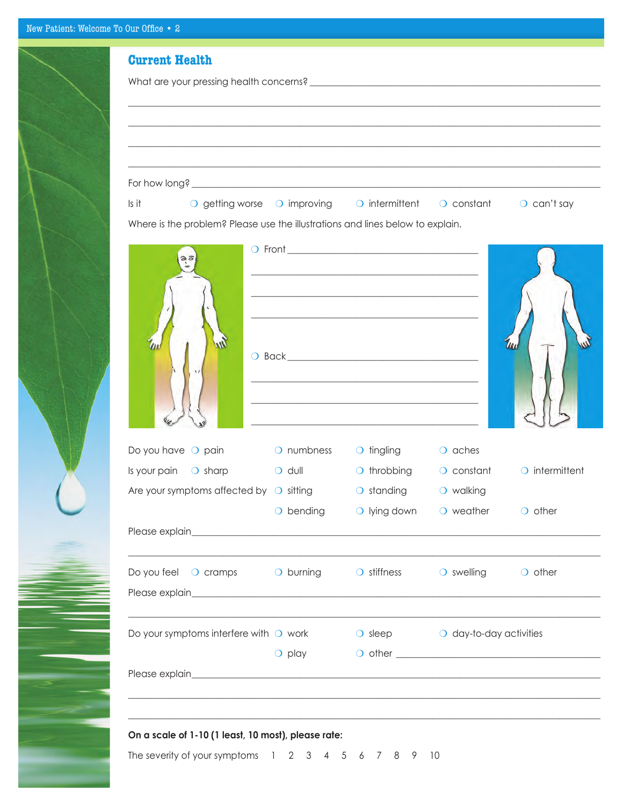| $\overline{\phantom{a}}$ |  |
|--------------------------|--|
|                          |  |
|                          |  |
|                          |  |
|                          |  |
|                          |  |
| J                        |  |
|                          |  |
|                          |  |
|                          |  |
|                          |  |

| <b>Current Health</b>                                                                   |                     |                                                                                                                        |                                                   |                                       |
|-----------------------------------------------------------------------------------------|---------------------|------------------------------------------------------------------------------------------------------------------------|---------------------------------------------------|---------------------------------------|
|                                                                                         |                     |                                                                                                                        |                                                   |                                       |
|                                                                                         |                     |                                                                                                                        |                                                   |                                       |
|                                                                                         |                     |                                                                                                                        |                                                   |                                       |
|                                                                                         |                     |                                                                                                                        |                                                   |                                       |
|                                                                                         |                     |                                                                                                                        |                                                   |                                       |
|                                                                                         |                     |                                                                                                                        |                                                   |                                       |
| Is it                                                                                   |                     | O getting worse O improving O intermittent O constant                                                                  |                                                   | $\circ$ can't say                     |
| Where is the problem? Please use the illustrations and lines below to explain.          |                     |                                                                                                                        |                                                   |                                       |
|                                                                                         |                     |                                                                                                                        |                                                   |                                       |
|                                                                                         |                     |                                                                                                                        |                                                   |                                       |
|                                                                                         |                     |                                                                                                                        |                                                   |                                       |
|                                                                                         |                     | <u> 1989 - Johann Barn, amerikan besteman besteman besteman besteman besteman besteman besteman besteman besteman</u>  |                                                   |                                       |
|                                                                                         |                     |                                                                                                                        |                                                   |                                       |
|                                                                                         |                     |                                                                                                                        |                                                   |                                       |
|                                                                                         |                     |                                                                                                                        |                                                   | m                                     |
|                                                                                         |                     |                                                                                                                        |                                                   |                                       |
|                                                                                         |                     |                                                                                                                        |                                                   |                                       |
|                                                                                         |                     | <u> 1989 - Johann Stoff, deutscher Stoffen und der Stoffen und der Stoffen und der Stoffen und der Stoffen und der</u> |                                                   |                                       |
|                                                                                         |                     | <u> 1980 - Johann Barn, mars an t-Amerikaansk politiker (* 1908)</u>                                                   |                                                   |                                       |
|                                                                                         |                     | <u> 1980 - Jan James James Barnett, fransk politik (d. 1980)</u>                                                       |                                                   |                                       |
|                                                                                         |                     |                                                                                                                        |                                                   |                                       |
| Do you have $\bigcirc$ pain                                                             | O numbness          | O tingling O aches                                                                                                     |                                                   |                                       |
| Is your pain $\bigcirc$ sharp                                                           | $\overline{O}$ dull |                                                                                                                        |                                                   | O throbbing O constant O intermittent |
| Are your symptoms affected by $\bigcirc$ sitting $\bigcirc$ standing $\bigcirc$ walking |                     |                                                                                                                        |                                                   |                                       |
|                                                                                         | $\bigcirc$ bending  |                                                                                                                        | $\bigcirc$ lying down $\bigcirc$ weather          | $\bigcirc$ other                      |
|                                                                                         |                     |                                                                                                                        |                                                   |                                       |
| Do you feel O cramps O burning O stiffness O swelling O other                           |                     |                                                                                                                        |                                                   |                                       |
|                                                                                         |                     |                                                                                                                        |                                                   |                                       |
|                                                                                         |                     |                                                                                                                        |                                                   |                                       |
| Do your symptoms interfere with $\bigcirc$ work                                         |                     |                                                                                                                        | $\bigcirc$ sleep $\bigcirc$ day-to-day activities |                                       |
|                                                                                         | $\bigcirc$ play     |                                                                                                                        |                                                   |                                       |
|                                                                                         |                     |                                                                                                                        |                                                   |                                       |
|                                                                                         |                     |                                                                                                                        |                                                   |                                       |
|                                                                                         |                     |                                                                                                                        |                                                   |                                       |
|                                                                                         |                     |                                                                                                                        |                                                   |                                       |
| On a scale of 1-10 (1 least, 10 most), please rate:                                     |                     |                                                                                                                        |                                                   |                                       |

The severity of your symptoms  $1 \quad 2 \quad 3 \quad 4 \quad 5 \quad 6 \quad 7 \quad 8 \quad 9 \quad 10$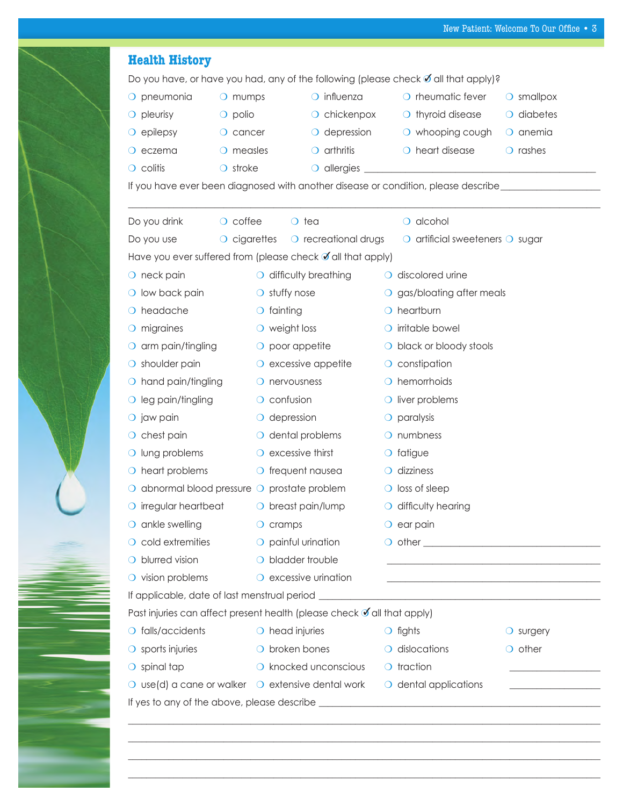| O pneumonia                                                                                        | O mumps                | $\bigcirc$ influenza           | O rheumatic fever                                                                                                     | $\bigcirc$ smallpox |
|----------------------------------------------------------------------------------------------------|------------------------|--------------------------------|-----------------------------------------------------------------------------------------------------------------------|---------------------|
| $\bigcirc$ pleurisy                                                                                | $\bigcirc$ polio       | $\circ$ chickenpox             | $\bigcirc$ thyroid disease                                                                                            | $\circ$ diabetes    |
| $\circ$ epilepsy                                                                                   | $\bigcirc$ cancer      | $\bigcirc$ depression          | $\bigcirc$ whooping cough                                                                                             | $\bigcirc$ anemia   |
| $\bigcirc$ eczema                                                                                  | $\circ$ measles        | $\circ$ arthritis              | O heart disease                                                                                                       | $\bigcirc$ rashes   |
| $\circ$ colitis                                                                                    | $\bigcirc$ stroke      |                                |                                                                                                                       |                     |
|                                                                                                    |                        |                                | If you have ever been diagnosed with another disease or condition, please describe__________________                  |                     |
| Do you drink                                                                                       | $\circ$ coffee         | $\circ$ tea                    | $\bigcirc$ alcohol                                                                                                    |                     |
| Do you use                                                                                         | $\circ$ cigarettes     | $\circ$ recreational drugs     | $\circ$ artificial sweeteners $\circ$ sugar                                                                           |                     |
| Have you ever suffered from (please check of all that apply)                                       |                        |                                |                                                                                                                       |                     |
| $\bigcirc$ neck pain                                                                               |                        | O difficulty breathing         | O discolored urine                                                                                                    |                     |
| $\bigcirc$ low back pain                                                                           | $\bigcirc$ stuffy nose |                                | O gas/bloating after meals                                                                                            |                     |
| O headache                                                                                         | $\bigcirc$ fainting    |                                | $\bigcirc$ heartburn                                                                                                  |                     |
| $\bigcirc$ migraines                                                                               | $\circ$ weight loss    |                                | O irritable bowel                                                                                                     |                     |
| $\bigcirc$ arm pain/tingling                                                                       |                        | $\circ$ poor appetite          | O black or bloody stools                                                                                              |                     |
| $\bigcirc$ shoulder pain                                                                           |                        | $\circ$ excessive appetite     | $\circ$ constipation                                                                                                  |                     |
| $\bigcirc$ hand pain/tingling                                                                      | $\bigcirc$ nervousness |                                | $\bigcirc$ hemorrhoids                                                                                                |                     |
| $\bigcirc$ leg pain/tingling                                                                       | $\circ$ confusion      |                                | $\bigcirc$ liver problems                                                                                             |                     |
| O jaw pain                                                                                         | $\circ$ depression     |                                | $\circ$ paralysis                                                                                                     |                     |
| $\circ$ chest pain                                                                                 |                        | $\bigcirc$ dental problems     | $\bigcirc$ numbness                                                                                                   |                     |
| O lung problems                                                                                    |                        | $\bigcirc$ excessive thirst    | $\circ$ fatigue                                                                                                       |                     |
| $\bigcirc$ heart problems                                                                          |                        | $\bigcirc$ frequent nausea     | $\bigcirc$ dizziness                                                                                                  |                     |
| $\bigcirc$ abnormal blood pressure $\bigcirc$ prostate problem                                     |                        |                                | $\bigcirc$ loss of sleep                                                                                              |                     |
| $\circ$ irregular heartbeat $\circ$ breast pain/lump $\circ$ difficulty hearing                    |                        |                                |                                                                                                                       |                     |
| $\bigcirc$ ankle swelling                                                                          | $\bigcirc$ cramps      |                                | $\circ$ ear pain                                                                                                      |                     |
| $\bigcirc$ cold extremities                                                                        |                        | $\bigcirc$ painful urination   |                                                                                                                       |                     |
| $\bigcirc$ blurred vision                                                                          |                        | O bladder trouble              |                                                                                                                       |                     |
| $\bigcirc$ vision problems                                                                         |                        | $\bigcirc$ excessive urination | <u> 1989 - Johann Harry Harry Harry Harry Harry Harry Harry Harry Harry Harry Harry Harry Harry Harry Harry Harry</u> |                     |
|                                                                                                    |                        |                                | If applicable, date of last menstrual period ___________________________________                                      |                     |
| Past injuries can affect present health (please check √ all that apply)                            |                        |                                |                                                                                                                       |                     |
| $\bigcirc$ falls/accidents                                                                         | $\circ$ head injuries  |                                | $\bigcirc$ fights                                                                                                     | $\bigcirc$ surgery  |
| $\circ$ sports injuries                                                                            |                        | O broken bones                 | $\circ$ dislocations                                                                                                  | $\bigcirc$ other    |
| $\bigcirc$ spinal tap                                                                              |                        | O knocked unconscious          | $\circ$ traction                                                                                                      |                     |
| $\bigcirc$ use(d) a cane or walker $\bigcirc$ extensive dental work $\bigcirc$ dental applications |                        |                                |                                                                                                                       |                     |
|                                                                                                    |                        |                                |                                                                                                                       |                     |

 $\_$  , and the set of the set of the set of the set of the set of the set of the set of the set of the set of the set of the set of the set of the set of the set of the set of the set of the set of the set of the set of th  $\_$  , and the set of the set of the set of the set of the set of the set of the set of the set of the set of the set of the set of the set of the set of the set of the set of the set of the set of the set of the set of th